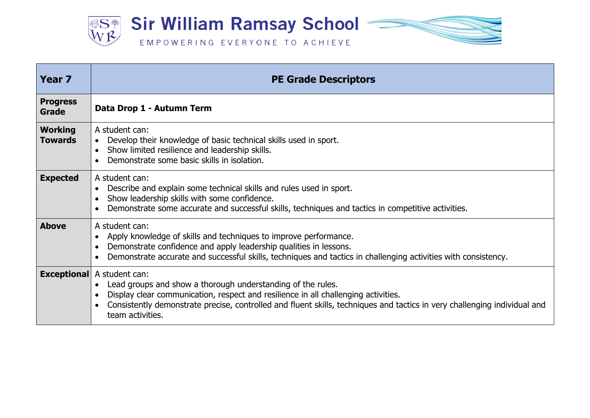

| Year <sub>7</sub>                | <b>PE Grade Descriptors</b>                                                                                                                                                                                                                                                                                          |
|----------------------------------|----------------------------------------------------------------------------------------------------------------------------------------------------------------------------------------------------------------------------------------------------------------------------------------------------------------------|
| <b>Progress</b><br>Grade         | Data Drop 1 - Autumn Term                                                                                                                                                                                                                                                                                            |
| <b>Working</b><br><b>Towards</b> | A student can:<br>Develop their knowledge of basic technical skills used in sport.<br>$\bullet$<br>Show limited resilience and leadership skills.<br>$\bullet$<br>Demonstrate some basic skills in isolation.                                                                                                        |
| <b>Expected</b>                  | A student can:<br>Describe and explain some technical skills and rules used in sport.<br>Show leadership skills with some confidence.<br>Demonstrate some accurate and successful skills, techniques and tactics in competitive activities.                                                                          |
| <b>Above</b>                     | A student can:<br>Apply knowledge of skills and techniques to improve performance.<br>Demonstrate confidence and apply leadership qualities in lessons.<br>Demonstrate accurate and successful skills, techniques and tactics in challenging activities with consistency.                                            |
| <b>Exceptional</b>               | A student can:<br>Lead groups and show a thorough understanding of the rules.<br>Display clear communication, respect and resilience in all challenging activities.<br>Consistently demonstrate precise, controlled and fluent skills, techniques and tactics in very challenging individual and<br>team activities. |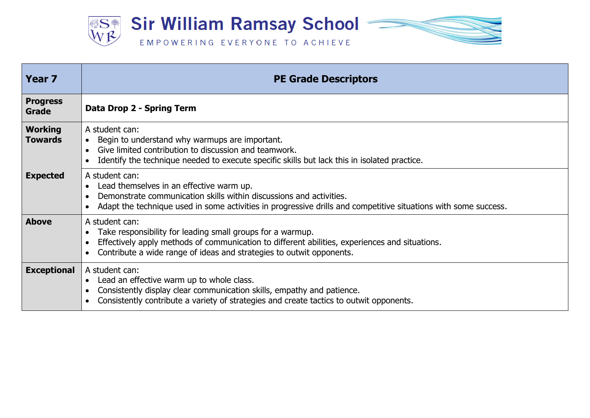

| Year <sub>7</sub>                | <b>PE Grade Descriptors</b>                                                                                                                                                                                                                                         |
|----------------------------------|---------------------------------------------------------------------------------------------------------------------------------------------------------------------------------------------------------------------------------------------------------------------|
| <b>Progress</b><br>Grade         | Data Drop 2 - Spring Term                                                                                                                                                                                                                                           |
| <b>Working</b><br><b>Towards</b> | A student can:<br>Begin to understand why warmups are important.<br>$\bullet$<br>Give limited contribution to discussion and teamwork.<br>Identify the technique needed to execute specific skills but lack this in isolated practice.                              |
| <b>Expected</b>                  | A student can:<br>Lead themselves in an effective warm up.<br>Demonstrate communication skills within discussions and activities.<br>Adapt the technique used in some activities in progressive drills and competitive situations with some success.                |
| <b>Above</b>                     | A student can:<br>Take responsibility for leading small groups for a warmup.<br>$\bullet$<br>Effectively apply methods of communication to different abilities, experiences and situations.<br>Contribute a wide range of ideas and strategies to outwit opponents. |
| <b>Exceptional</b>               | A student can:<br>Lead an effective warm up to whole class.<br>$\bullet$<br>Consistently display clear communication skills, empathy and patience.<br>Consistently contribute a variety of strategies and create tactics to outwit opponents.                       |